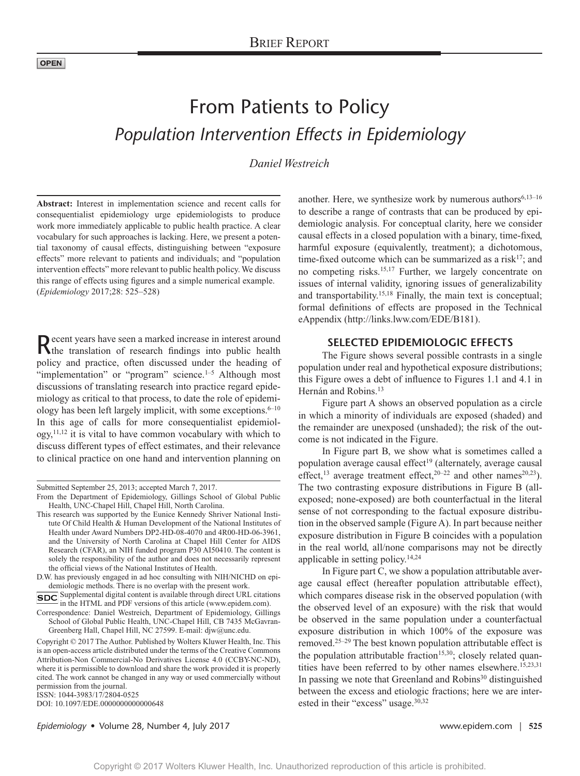# From Patients to Policy *Population Intervention Effects in Epidemiology*

*Daniel Westreich*

**Abstract:** Interest in implementation science and recent calls for consequentialist epidemiology urge epidemiologists to produce work more immediately applicable to public health practice. A clear vocabulary for such approaches is lacking. Here, we present a potential taxonomy of causal effects, distinguishing between "exposure effects" more relevant to patients and individuals; and "population intervention effects" more relevant to public health policy. We discuss this range of effects using figures and a simple numerical example. (*Epidemiology* 2017;28: 525–528)

Recent years have seen a marked increase in interest around the translation of research findings into public health policy and practice, often discussed under the heading of "implementation" or "program" science. $1-5$  Although most discussions of translating research into practice regard epidemiology as critical to that process, to date the role of epidemiology has been left largely implicit, with some exceptions.<sup>6-10</sup> In this age of calls for more consequentialist epidemiol $ogy$ ,<sup>11,12</sup> it is vital to have common vocabulary with which to discuss different types of effect estimates, and their relevance to clinical practice on one hand and intervention planning on

SDC Supplemental digital content is available through direct URL citations in the HTML and PDF versions of this article [\(www.epidem.com\)](www.epidem.com).

DOI: 10.1097/EDE.0000000000000648

another. Here, we synthesize work by numerous authors $6,13-16$ to describe a range of contrasts that can be produced by epidemiologic analysis. For conceptual clarity, here we consider causal effects in a closed population with a binary, time-fixed, harmful exposure (equivalently, treatment); a dichotomous, time-fixed outcome which can be summarized as a risk<sup>17</sup>; and no competing risks.15,17 Further, we largely concentrate on issues of internal validity, ignoring issues of generalizability and transportability.<sup>15,18</sup> Finally, the main text is conceptual; formal definitions of effects are proposed in the Technical eAppendix ([http://links.lww.com/EDE/B181\)](http://links.lww.com/EDE/B181).

## **SELECTED EPIDEMIOLOGIC EFFECTS**

The Figure shows several possible contrasts in a single population under real and hypothetical exposure distributions; this Figure owes a debt of influence to Figures 1.1 and 4.1 in Hernán and Robins.<sup>13</sup>

Figure part A shows an observed population as a circle in which a minority of individuals are exposed (shaded) and the remainder are unexposed (unshaded); the risk of the outcome is not indicated in the Figure.

In Figure part B, we show what is sometimes called a population average causal effect<sup>19</sup> (alternately, average causal effect,<sup>13</sup> average treatment effect,<sup>20–22</sup> and other names<sup>20,23</sup>). The two contrasting exposure distributions in Figure B (allexposed; none-exposed) are both counterfactual in the literal sense of not corresponding to the factual exposure distribution in the observed sample (Figure A). In part because neither exposure distribution in Figure B coincides with a population in the real world, all/none comparisons may not be directly applicable in setting policy.14,24

In Figure part C, we show a population attributable average causal effect (hereafter population attributable effect), which compares disease risk in the observed population (with the observed level of an exposure) with the risk that would be observed in the same population under a counterfactual exposure distribution in which 100% of the exposure was removed.25–29 The best known population attributable effect is the population attributable fraction<sup>15,30</sup>; closely related quantities have been referred to by other names elsewhere.<sup>15,23,31</sup> In passing we note that Greenland and Robins<sup>30</sup> distinguished between the excess and etiologic fractions; here we are interested in their "excess" usage.<sup>30,32</sup>

*Epidemiology* • Volume 28, Number 4, July 2017 www.epidem.com | **525**

Submitted September 25, 2013; accepted March 7, 2017.

From the Department of Epidemiology, Gillings School of Global Public Health, UNC-Chapel Hill, Chapel Hill, North Carolina.

This research was supported by the Eunice Kennedy Shriver National Institute Of Child Health & Human Development of the National Institutes of Health under Award Numbers DP2-HD-08-4070 and 4R00-HD-06-3961, and the University of North Carolina at Chapel Hill Center for AIDS Research (CFAR), an NIH funded program P30 AI50410. The content is solely the responsibility of the author and does not necessarily represent the official views of the National Institutes of Health.

D.W. has previously engaged in ad hoc consulting with NIH/NICHD on epidemiologic methods. There is no overlap with the present work.

Correspondence: Daniel Westreich, Department of Epidemiology, Gillings School of Global Public Health, UNC-Chapel Hill, CB 7435 McGavran-Greenberg Hall, Chapel Hill, NC 27599. E-mail: djw@unc.edu.

Copyright © 2017 The Author. Published by Wolters Kluwer Health, Inc. This is an open-access article distributed under the terms of the [Creative Commons](http://creativecommons.org/licenses/by-nc-nd/4.0/) [Attribution-Non Commercial-No Derivatives License 4.0 \(CCBY-NC-ND\)](http://creativecommons.org/licenses/by-nc-nd/4.0/), where it is permissible to download and share the work provided it is properly cited. The work cannot be changed in any way or used commercially without permission from the journal.

ISSN: 1044-3983/17/2804-0525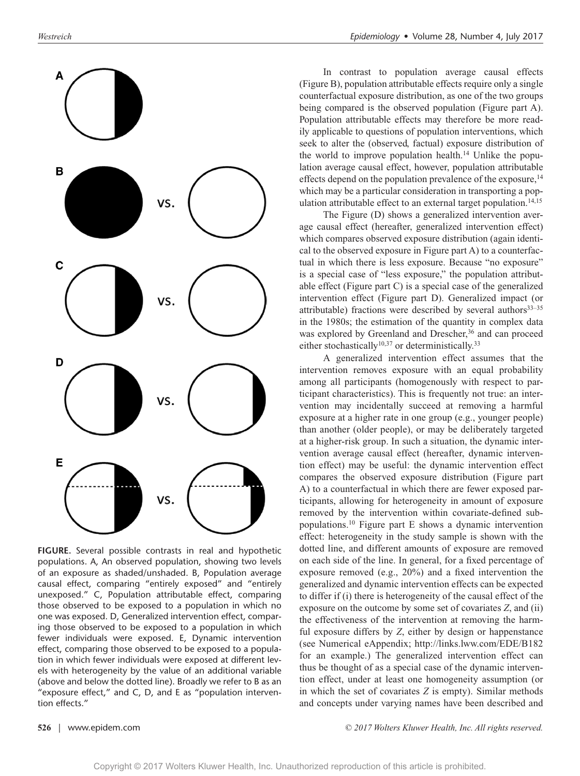

**FIGURE.** Several possible contrasts in real and hypothetic populations. A, An observed population, showing two levels of an exposure as shaded/unshaded. B, Population average causal effect, comparing "entirely exposed" and "entirely unexposed." C, Population attributable effect, comparing those observed to be exposed to a population in which no one was exposed. D, Generalized intervention effect, comparing those observed to be exposed to a population in which fewer individuals were exposed. E, Dynamic intervention effect, comparing those observed to be exposed to a population in which fewer individuals were exposed at different levels with heterogeneity by the value of an additional variable (above and below the dotted line). Broadly we refer to B as an "exposure effect," and C, D, and E as "population intervention effects."

In contrast to population average causal effects (Figure B), population attributable effects require only a single counterfactual exposure distribution, as one of the two groups being compared is the observed population (Figure part A). Population attributable effects may therefore be more readily applicable to questions of population interventions, which seek to alter the (observed, factual) exposure distribution of the world to improve population health.<sup>14</sup> Unlike the population average causal effect, however, population attributable effects depend on the population prevalence of the exposure,  $14$ which may be a particular consideration in transporting a population attributable effect to an external target population.<sup>14,15</sup>

The Figure (D) shows a generalized intervention average causal effect (hereafter, generalized intervention effect) which compares observed exposure distribution (again identical to the observed exposure in Figure part A) to a counterfactual in which there is less exposure. Because "no exposure" is a special case of "less exposure," the population attributable effect (Figure part C) is a special case of the generalized intervention effect (Figure part D). Generalized impact (or attributable) fractions were described by several authors $33-35$ in the 1980s; the estimation of the quantity in complex data was explored by Greenland and Drescher,<sup>36</sup> and can proceed either stochastically<sup>10,37</sup> or deterministically.<sup>33</sup>

A generalized intervention effect assumes that the intervention removes exposure with an equal probability among all participants (homogenously with respect to participant characteristics). This is frequently not true: an intervention may incidentally succeed at removing a harmful exposure at a higher rate in one group (e.g., younger people) than another (older people), or may be deliberately targeted at a higher-risk group. In such a situation, the dynamic intervention average causal effect (hereafter, dynamic intervention effect) may be useful: the dynamic intervention effect compares the observed exposure distribution (Figure part A) to a counterfactual in which there are fewer exposed participants, allowing for heterogeneity in amount of exposure removed by the intervention within covariate-defined subpopulations.10 Figure part E shows a dynamic intervention effect: heterogeneity in the study sample is shown with the dotted line, and different amounts of exposure are removed on each side of the line. In general, for a fixed percentage of exposure removed (e.g., 20%) and a fixed intervention the generalized and dynamic intervention effects can be expected to differ if (i) there is heterogeneity of the causal effect of the exposure on the outcome by some set of covariates *Z*, and (ii) the effectiveness of the intervention at removing the harmful exposure differs by *Z*, either by design or happenstance (see Numerical eAppendix; <http://links.lww.com/EDE/B182> for an example.) The generalized intervention effect can thus be thought of as a special case of the dynamic intervention effect, under at least one homogeneity assumption (or in which the set of covariates *Z* is empty). Similar methods and concepts under varying names have been described and

**526** | www.epidem.com *© 2017 Wolters Kluwer Health, Inc. All rights reserved.*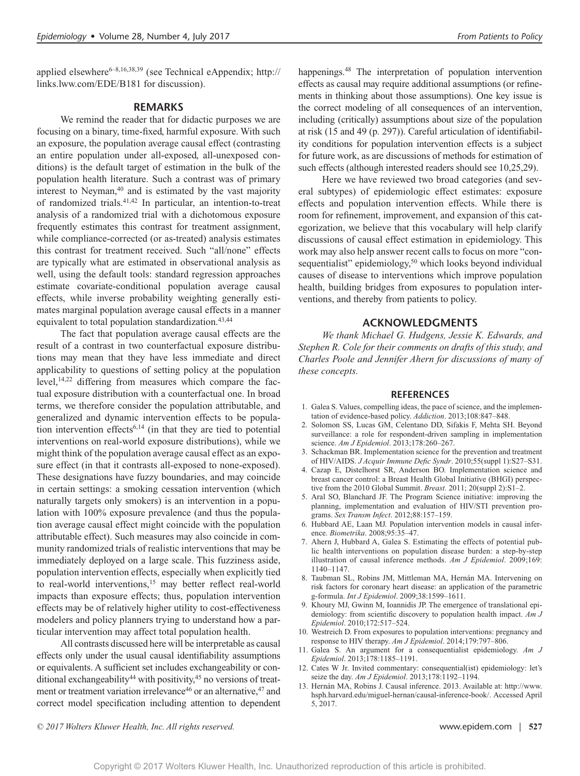applied elsewhere<sup>6–8,16,38,39</sup> (see Technical eAppendix; [http://](http://links.lww.com/EDE/B181) [links.lww.com/EDE/B181](http://links.lww.com/EDE/B181) for discussion).

### **REMARKS**

We remind the reader that for didactic purposes we are focusing on a binary, time-fixed, harmful exposure. With such an exposure, the population average causal effect (contrasting an entire population under all-exposed, all-unexposed conditions) is the default target of estimation in the bulk of the population health literature. Such a contrast was of primary interest to Neyman,<sup>40</sup> and is estimated by the vast majority of randomized trials.41,42 In particular, an intention-to-treat analysis of a randomized trial with a dichotomous exposure frequently estimates this contrast for treatment assignment, while compliance-corrected (or as-treated) analysis estimates this contrast for treatment received. Such "all/none" effects are typically what are estimated in observational analysis as well, using the default tools: standard regression approaches estimate covariate-conditional population average causal effects, while inverse probability weighting generally estimates marginal population average causal effects in a manner equivalent to total population standardization.<sup>43,44</sup>

The fact that population average causal effects are the result of a contrast in two counterfactual exposure distributions may mean that they have less immediate and direct applicability to questions of setting policy at the population level,<sup>14,22</sup> differing from measures which compare the factual exposure distribution with a counterfactual one. In broad terms, we therefore consider the population attributable, and generalized and dynamic intervention effects to be population intervention effects<sup>6,14</sup> (in that they are tied to potential interventions on real-world exposure distributions), while we might think of the population average causal effect as an exposure effect (in that it contrasts all-exposed to none-exposed). These designations have fuzzy boundaries, and may coincide in certain settings: a smoking cessation intervention (which naturally targets only smokers) is an intervention in a population with 100% exposure prevalence (and thus the population average causal effect might coincide with the population attributable effect). Such measures may also coincide in community randomized trials of realistic interventions that may be immediately deployed on a large scale. This fuzziness aside, population intervention effects, especially when explicitly tied to real-world interventions,<sup>15</sup> may better reflect real-world impacts than exposure effects; thus, population intervention effects may be of relatively higher utility to cost-effectiveness modelers and policy planners trying to understand how a particular intervention may affect total population health.

All contrasts discussed here will be interpretable as causal effects only under the usual causal identifiability assumptions or equivalents. A sufficient set includes exchangeability or conditional exchangeability<sup>44</sup> with positivity,<sup>45</sup> no versions of treatment or treatment variation irrelevance<sup>46</sup> or an alternative, <sup>47</sup> and correct model specification including attention to dependent happenings.<sup>48</sup> The interpretation of population intervention effects as causal may require additional assumptions (or refinements in thinking about those assumptions). One key issue is the correct modeling of all consequences of an intervention, including (critically) assumptions about size of the population at risk (15 and 49 (p. 297)). Careful articulation of identifiability conditions for population intervention effects is a subject for future work, as are discussions of methods for estimation of such effects (although interested readers should see 10,25,29).

Here we have reviewed two broad categories (and several subtypes) of epidemiologic effect estimates: exposure effects and population intervention effects. While there is room for refinement, improvement, and expansion of this categorization, we believe that this vocabulary will help clarify discussions of causal effect estimation in epidemiology. This work may also help answer recent calls to focus on more "consequentialist" epidemiology,<sup>50</sup> which looks beyond individual causes of disease to interventions which improve population health, building bridges from exposures to population interventions, and thereby from patients to policy.

#### **ACKNOWLEDGMENTS**

*We thank Michael G. Hudgens, Jessie K. Edwards, and Stephen R. Cole for their comments on drafts of this study, and Charles Poole and Jennifer Ahern for discussions of many of these concepts.*

#### **REFERENCES**

- 1. Galea S. Values, compelling ideas, the pace of science, and the implementation of evidence-based policy. *Addiction*. 2013;108:847–848.
- 2. Solomon SS, Lucas GM, Celentano DD, Sifakis F, Mehta SH. Beyond surveillance: a role for respondent-driven sampling in implementation science. *Am J Epidemiol*. 2013;178:260–267.
- 3. Schackman BR. Implementation science for the prevention and treatment of HIV/AIDS. *J Acquir Immune Defic Syndr*. 2010;55(suppl 1):S27–S31.
- 4. Cazap E, Distelhorst SR, Anderson BO. Implementation science and breast cancer control: a Breast Health Global Initiative (BHGI) perspective from the 2010 Global Summit. *Breast.* 2011; 20(suppl 2):S1–2.
- 5. Aral SO, Blanchard JF. The Program Science initiative: improving the planning, implementation and evaluation of HIV/STI prevention programs. *Sex Transm Infect*. 2012;88:157–159.
- 6. Hubbard AE, Laan MJ. Population intervention models in causal inference. *Biometrika*. 2008;95:35–47.
- 7. Ahern J, Hubbard A, Galea S. Estimating the effects of potential public health interventions on population disease burden: a step-by-step illustration of causal inference methods. *Am J Epidemiol*. 2009;169: 1140–1147.
- 8. Taubman SL, Robins JM, Mittleman MA, Hernán MA. Intervening on risk factors for coronary heart disease: an application of the parametric g-formula. *Int J Epidemiol*. 2009;38:1599–1611.
- 9. Khoury MJ, Gwinn M, Ioannidis JP. The emergence of translational epidemiology: from scientific discovery to population health impact. *Am J Epidemiol*. 2010;172:517–524.
- 10. Westreich D. From exposures to population interventions: pregnancy and response to HIV therapy. *Am J Epidemiol*. 2014;179:797–806.
- 11. Galea S. An argument for a consequentialist epidemiology. *Am J Epidemiol*. 2013;178:1185–1191.
- 12. Cates W Jr. Invited commentary: consequential(ist) epidemiology: let's seize the day. *Am J Epidemiol*. 2013;178:1192–1194.
- 13. Hernán MA, Robins J. Causal inference. 2013. Available at: [http://www.](http://www.hsph.harvard.edu/miguel-hernan/causal-inference-book/) [hsph.harvard.edu/miguel-hernan/causal-inference-book/.](http://www.hsph.harvard.edu/miguel-hernan/causal-inference-book/) Accessed April 5, 2017.

*© 2017 Wolters Kluwer Health, Inc. All rights reserved.* www.epidem.com | **527**